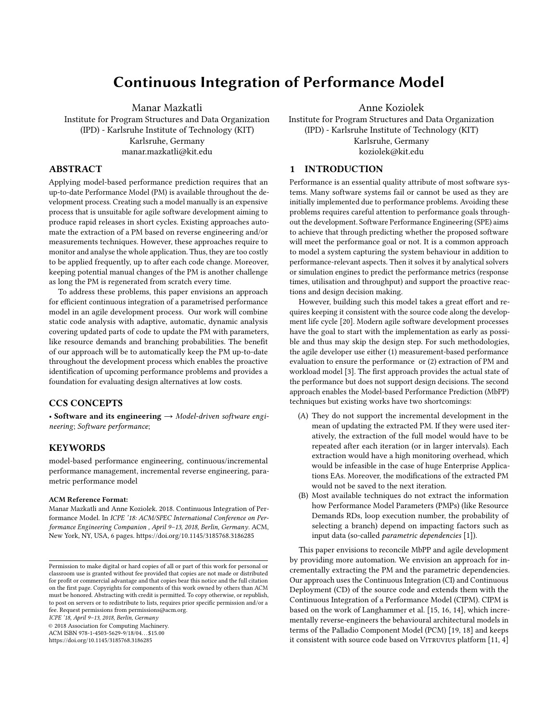# Continuous Integration of Performance Model

Manar Mazkatli

Institute for Program Structures and Data Organization (IPD) - Karlsruhe Institute of Technology (KIT) Karlsruhe, Germany manar.mazkatli@kit.edu

### ABSTRACT

Applying model-based performance prediction requires that an up-to-date Performance Model (PM) is available throughout the development process. Creating such a model manually is an expensive process that is unsuitable for agile software development aiming to produce rapid releases in short cycles. Existing approaches automate the extraction of a PM based on reverse engineering and/or measurements techniques. However, these approaches require to monitor and analyse the whole application. Thus, they are too costly to be applied frequently, up to after each code change. Moreover, keeping potential manual changes of the PM is another challenge as long the PM is regenerated from scratch every time.

To address these problems, this paper envisions an approach for efficient continuous integration of a parametrised performance model in an agile development process. Our work will combine static code analysis with adaptive, automatic, dynamic analysis covering updated parts of code to update the PM with parameters, like resource demands and branching probabilities. The benefit of our approach will be to automatically keep the PM up-to-date throughout the development process which enables the proactive identification of upcoming performance problems and provides a foundation for evaluating design alternatives at low costs.

### CCS CONCEPTS

• Software and its engineering  $\rightarrow$  Model-driven software engineering; Software performance;

### **KEYWORDS**

model-based performance engineering, continuous/incremental performance management, incremental reverse engineering, parametric performance model

#### ACM Reference Format:

Manar Mazkatli and Anne Koziolek. 2018. Continuous Integration of Performance Model. In ICPE '18: ACM/SPEC International Conference on Performance Engineering Companion , April 9–13, 2018, Berlin, Germany. ACM, New York, NY, USA, [6](#page-5-0) pages.<https://doi.org/10.1145/3185768.3186285>

ICPE '18, April 9–13, 2018, Berlin, Germany

© 2018 Association for Computing Machinery. ACM ISBN 978-1-4503-5629-9/18/04. . . \$15.00

<https://doi.org/10.1145/3185768.3186285>

Anne Koziolek

Institute for Program Structures and Data Organization (IPD) - Karlsruhe Institute of Technology (KIT) Karlsruhe, Germany koziolek@kit.edu

### 1 INTRODUCTION

Performance is an essential quality attribute of most software systems. Many software systems fail or cannot be used as they are initially implemented due to performance problems. Avoiding these problems requires careful attention to performance goals throughout the development. Software Performance Engineering (SPE) aims to achieve that through predicting whether the proposed software will meet the performance goal or not. It is a common approach to model a system capturing the system behaviour in addition to performance-relevant aspects. Then it solves it by analytical solvers or simulation engines to predict the performance metrics (response times, utilisation and throughput) and support the proactive reactions and design decision making.

However, building such this model takes a great effort and requires keeping it consistent with the source code along the development life cycle [\[20\]](#page-5-1). Modern agile software development processes have the goal to start with the implementation as early as possible and thus may skip the design step. For such methodologies, the agile developer use either (1) measurement-based performance evaluation to ensure the performance or (2) extraction of PM and workload model [\[3\]](#page-5-2). The first approach provides the actual state of the performance but does not support design decisions. The second approach enables the Model-based Performance Prediction (MbPP) techniques but existing works have two shortcomings:

- (A) They do not support the incremental development in the mean of updating the extracted PM. If they were used iteratively, the extraction of the full model would have to be repeated after each iteration (or in larger intervals). Each extraction would have a high monitoring overhead, which would be infeasible in the case of huge Enterprise Applications EAs. Moreover, the modifications of the extracted PM would not be saved to the next iteration.
- (B) Most available techniques do not extract the information how Performance Model Parameters (PMPs) (like Resource Demands RDs, loop execution number, the probability of selecting a branch) depend on impacting factors such as input data (so-called parametric dependencies [\[1\]](#page-5-3)).

This paper envisions to reconcile MbPP and agile development by providing more automation. We envision an approach for incrementally extracting the PM and the parametric dependencies. Our approach uses the Continuous Integration (CI) and Continuous Deployment (CD) of the source code and extends them with the Continuous Integration of a Performance Model (CIPM). CIPM is based on the work of Langhammer et al. [\[15,](#page-5-4) [16,](#page-5-5) [14\]](#page-5-6), which incrementally reverse-engineers the behavioural architectural models in terms of the Palladio Component Model (PCM) [\[19,](#page-5-7) [18\]](#page-5-8) and keeps it consistent with source code based on VITRUVIUS platform [\[11,](#page-5-9) [4\]](#page-5-10)

Permission to make digital or hard copies of all or part of this work for personal or classroom use is granted without fee provided that copies are not made or distributed for profit or commercial advantage and that copies bear this notice and the full citation on the first page. Copyrights for components of this work owned by others than ACM must be honored. Abstracting with credit is permitted. To copy otherwise, or republish, to post on servers or to redistribute to lists, requires prior specific permission and/or a fee. Request permissions from permissions@acm.org.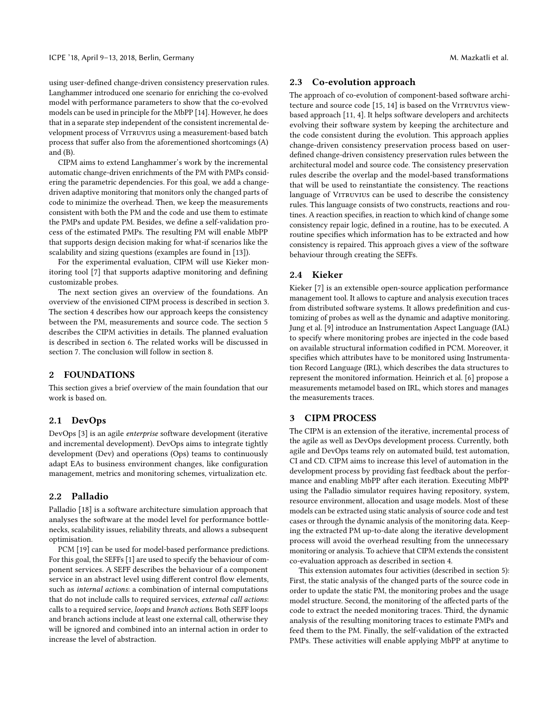using user-defined change-driven consistency preservation rules. Langhammer introduced one scenario for enriching the co-evolved model with performance parameters to show that the co-evolved models can be used in principle for the MbPP [\[14\]](#page-5-6). However, he does that in a separate step independent of the consistent incremental development process of VITRUVIUS using a measurement-based batch process that suffer also from the aforementioned shortcomings (A) and (B).

CIPM aims to extend Langhammer's work by the incremental automatic change-driven enrichments of the PM with PMPs considering the parametric dependencies. For this goal, we add a changedriven adaptive monitoring that monitors only the changed parts of code to minimize the overhead. Then, we keep the measurements consistent with both the PM and the code and use them to estimate the PMPs and update PM. Besides, we define a self-validation process of the estimated PMPs. The resulting PM will enable MbPP that supports design decision making for what-if scenarios like the scalability and sizing questions (examples are found in [\[13\]](#page-5-11)).

For the experimental evaluation, CIPM will use Kieker monitoring tool [\[7\]](#page-5-12) that supports adaptive monitoring and defining customizable probes.

The next section gives an overview of the foundations. An overview of the envisioned CIPM process is described in [section 3.](#page-1-0) The [section 4](#page-2-0) describes how our approach keeps the consistency between the PM, measurements and source code. The [section 5](#page-2-1) describes the CIPM activities in details. The planned evaluation is described in [section 6.](#page-4-0) The related works will be discussed in [section 7.](#page-4-1) The conclusion will follow in [section 8.](#page-4-2)

#### 2 FOUNDATIONS

This section gives a brief overview of the main foundation that our work is based on.

### 2.1 DevOps

DevOps [\[3\]](#page-5-2) is an agile enterprise software development (iterative and incremental development). DevOps aims to integrate tightly development (Dev) and operations (Ops) teams to continuously adapt EAs to business environment changes, like configuration management, metrics and monitoring schemes, virtualization etc.

#### <span id="page-1-1"></span>2.2 Palladio

Palladio [\[18\]](#page-5-8) is a software architecture simulation approach that analyses the software at the model level for performance bottlenecks, scalability issues, reliability threats, and allows a subsequent optimisation.

PCM [\[19\]](#page-5-7) can be used for model-based performance predictions. For this goal, the SEFFs [\[1\]](#page-5-3) are used to specify the behaviour of component services. A SEFF describes the behaviour of a component service in an abstract level using different control flow elements, such as internal actions: a combination of internal computations that do not include calls to required services, external call actions: calls to a required service, loops and branch actions. Both SEFF loops and branch actions include at least one external call, otherwise they will be ignored and combined into an internal action in order to increase the level of abstraction.

#### 2.3 Co-evolution approach

The approach of co-evolution of component-based software archi-tecture and source code [\[15,](#page-5-4) [14\]](#page-5-6) is based on the VITRUVIUS viewbased approach [\[11,](#page-5-9) [4\]](#page-5-10). It helps software developers and architects evolving their software system by keeping the architecture and the code consistent during the evolution. This approach applies change-driven consistency preservation process based on userdefined change-driven consistency preservation rules between the architectural model and source code. The consistency preservation rules describe the overlap and the model-based transformations that will be used to reinstantiate the consistency. The reactions language of VITRUVIUS can be used to describe the consistency rules. This language consists of two constructs, reactions and routines. A reaction specifies, in reaction to which kind of change some consistency repair logic, defined in a routine, has to be executed. A routine specifies which information has to be extracted and how consistency is repaired. This approach gives a view of the software behaviour through creating the SEFFs.

### 2.4 Kieker

Kieker [\[7\]](#page-5-12) is an extensible open-source application performance management tool. It allows to capture and analysis execution traces from distributed software systems. It allows predefinition and customizing of probes as well as the dynamic and adaptive monitoring. Jung et al. [\[9\]](#page-5-13) introduce an Instrumentation Aspect Language (IAL) to specify where monitoring probes are injected in the code based on available structural information codified in PCM. Moreover, it specifies which attributes have to be monitored using Instrumentation Record Language (IRL), which describes the data structures to represent the monitored information. Heinrich et al. [\[6\]](#page-5-14) propose a measurements metamodel based on IRL, which stores and manages the measurements traces.

#### <span id="page-1-0"></span>3 CIPM PROCESS

The CIPM is an extension of the iterative, incremental process of the agile as well as DevOps development process. Currently, both agile and DevOps teams rely on automated build, test automation, CI and CD. CIPM aims to increase this level of automation in the development process by providing fast feedback about the performance and enabling MbPP after each iteration. Executing MbPP using the Palladio simulator requires having repository, system, resource environment, allocation and usage models. Most of these models can be extracted using static analysis of source code and test cases or through the dynamic analysis of the monitoring data. Keeping the extracted PM up-to-date along the iterative development process will avoid the overhead resulting from the unnecessary monitoring or analysis. To achieve that CIPM extends the consistent co-evaluation approach as described in [section 4.](#page-2-0)

This extension automates four activities (described in [section 5\)](#page-2-1): First, the static analysis of the changed parts of the source code in order to update the static PM, the monitoring probes and the usage model structure. Second, the monitoring of the affected parts of the code to extract the needed monitoring traces. Third, the dynamic analysis of the resulting monitoring traces to estimate PMPs and feed them to the PM. Finally, the self-validation of the extracted PMPs. These activities will enable applying MbPP at anytime to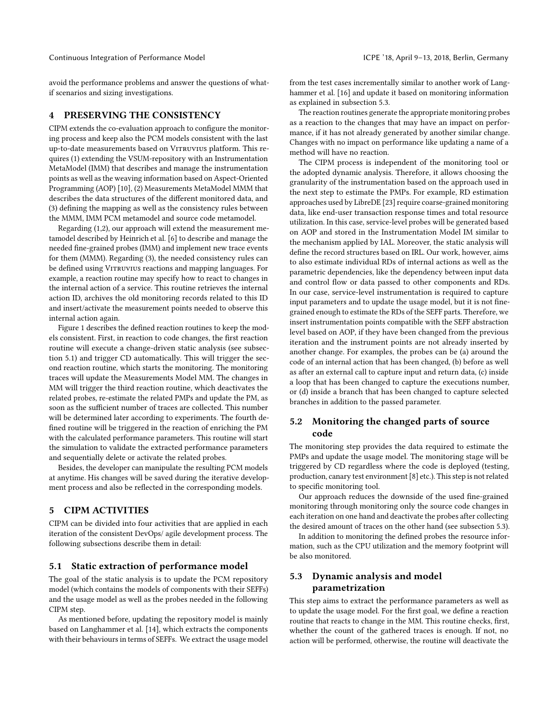avoid the performance problems and answer the questions of whatif scenarios and sizing investigations.

#### <span id="page-2-0"></span>4 PRESERVING THE CONSISTENCY

CIPM extends the co-evaluation approach to configure the monitoring process and keep also the PCM models consistent with the last up-to-date measurements based on VITRUVIUS platform. This requires (1) extending the VSUM-repository with an Instrumentation MetaModel (IMM) that describes and manage the instrumentation points as well as the weaving information based on Aspect-Oriented Programming (AOP) [\[10\]](#page-5-15), (2) Measurements MetaModel MMM that describes the data structures of the different monitored data, and (3) defining the mapping as well as the consistency rules between the MMM, IMM PCM metamodel and source code metamodel.

Regarding (1,2), our approach will extend the measurement metamodel described by Heinrich et al. [\[6\]](#page-5-14) to describe and manage the needed fine-grained probes (IMM) and implement new trace events for them (MMM). Regarding (3), the needed consistency rules can be defined using VITRUVIUS reactions and mapping languages. For example, a reaction routine may specify how to react to changes in the internal action of a service. This routine retrieves the internal action ID, archives the old monitoring records related to this ID and insert/activate the measurement points needed to observe this internal action again.

[Figure 1](#page-3-0) describes the defined reaction routines to keep the models consistent. First, in reaction to code changes, the first reaction routine will execute a change-driven static analysis (see [subsec](#page-2-2)[tion 5.1\)](#page-2-2) and trigger CD automatically. This will trigger the second reaction routine, which starts the monitoring. The monitoring traces will update the Measurements Model MM. The changes in MM will trigger the third reaction routine, which deactivates the related probes, re-estimate the related PMPs and update the PM, as soon as the sufficient number of traces are collected. This number will be determined later according to experiments. The fourth defined routine will be triggered in the reaction of enriching the PM with the calculated performance parameters. This routine will start the simulation to validate the extracted performance parameters and sequentially delete or activate the related probes.

Besides, the developer can manipulate the resulting PCM models at anytime. His changes will be saved during the iterative development process and also be reflected in the corresponding models.

### <span id="page-2-1"></span>5 CIPM ACTIVITIES

CIPM can be divided into four activities that are applied in each iteration of the consistent DevOps/ agile development process. The following subsections describe them in detail:

#### <span id="page-2-2"></span>5.1 Static extraction of performance model

The goal of the static analysis is to update the PCM repository model (which contains the models of components with their SEFFs) and the usage model as well as the probes needed in the following CIPM step.

As mentioned before, updating the repository model is mainly based on Langhammer et al. [\[14\]](#page-5-6), which extracts the components with their behaviours in terms of SEFFs. We extract the usage model from the test cases incrementally similar to another work of Langhammer et al. [\[16\]](#page-5-5) and update it based on monitoring information as explained in [subsection 5.3.](#page-2-3)

The reaction routines generate the appropriate monitoring probes as a reaction to the changes that may have an impact on performance, if it has not already generated by another similar change. Changes with no impact on performance like updating a name of a method will have no reaction.

The CIPM process is independent of the monitoring tool or the adopted dynamic analysis. Therefore, it allows choosing the granularity of the instrumentation based on the approach used in the next step to estimate the PMPs. For example, RD estimation approaches used by LibreDE [\[23\]](#page-5-16) require coarse-grained monitoring data, like end-user transaction response times and total resource utilization. In this case, service-level probes will be generated based on AOP and stored in the Instrumentation Model IM similar to the mechanism applied by IAL. Moreover, the static analysis will define the record structures based on IRL. Our work, however, aims to also estimate individual RDs of internal actions as well as the parametric dependencies, like the dependency between input data and control flow or data passed to other components and RDs. In our case, service-level instrumentation is required to capture input parameters and to update the usage model, but it is not finegrained enough to estimate the RDs of the SEFF parts. Therefore, we insert instrumentation points compatible with the SEFF abstraction level based on AOP, if they have been changed from the previous iteration and the instrument points are not already inserted by another change. For examples, the probes can be (a) around the code of an internal action that has been changed, (b) before as well as after an external call to capture input and return data, (c) inside a loop that has been changed to capture the executions number, or (d) inside a branch that has been changed to capture selected branches in addition to the passed parameter.

## 5.2 Monitoring the changed parts of source code

The monitoring step provides the data required to estimate the PMPs and update the usage model. The monitoring stage will be triggered by CD regardless where the code is deployed (testing, production, canary test environment [\[8\]](#page-5-17) etc.). This step is not related to specific monitoring tool.

Our approach reduces the downside of the used fine-grained monitoring through monitoring only the source code changes in each iteration on one hand and deactivate the probes after collecting the desired amount of traces on the other hand (see [subsection 5.3\)](#page-2-3).

In addition to monitoring the defined probes the resource information, such as the CPU utilization and the memory footprint will be also monitored.

## <span id="page-2-3"></span>5.3 Dynamic analysis and model parametrization

This step aims to extract the performance parameters as well as to update the usage model. For the first goal, we define a reaction routine that reacts to change in the MM. This routine checks, first, whether the count of the gathered traces is enough. If not, no action will be performed, otherwise, the routine will deactivate the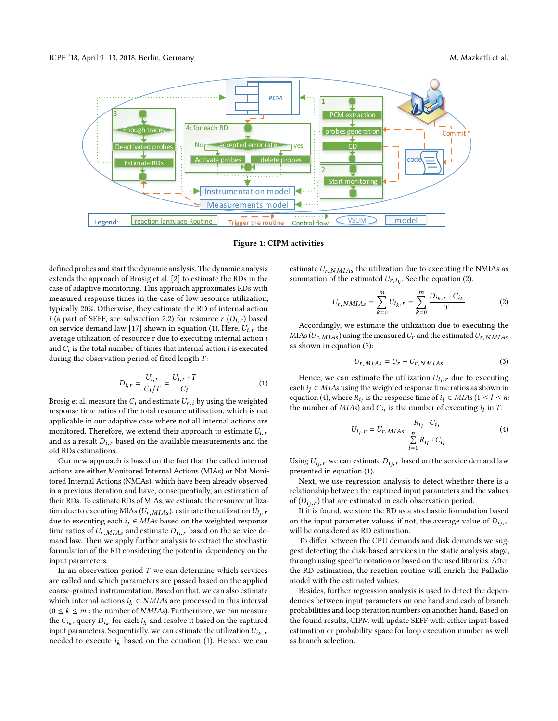#### <span id="page-3-0"></span>ICPE '18, April 9–13, 2018, Berlin, Germany M. Mazkatli et al.



Figure 1: CIPM activities

defined probes and start the dynamic analysis. The dynamic analysis extends the approach of Brosig et al. [\[2\]](#page-5-18) to estimate the RDs in the case of adaptive monitoring. This approach approximates RDs with measured response times in the case of low resource utilization, typically 20%. Otherwise, they estimate the RD of internal action i (a part of SEFF, see [subsection 2.2\)](#page-1-1) for resource  $r(D_{i,r})$  based on service demand law [\[17\]](#page-5-19) shown in equation (1). Here,  $U_{i,r}$  the average utilization of resource r due to executing internal action i and  $C_i$  is the total number of times that internal action  $i$  is executed during the observation period of fixed length  $T$ :

$$
D_{i,r} = \frac{U_{i,r}}{C_i/T} = \frac{U_{i,r} \cdot T}{C_i} \tag{1}
$$

Brosig et al. measure the  $C_i$  and estimate  $U_{r,i}$  by using the weighted response time ratios of the total resource utilization, which is not applicable in our adaptive case where not all internal actions are monitored. Therefore, we extend their approach to estimate  $U_{i,r}$ and as a result  $D_{i,r}$  based on the available measurements and the old RDs estimations.

Our new approach is based on the fact that the called internal actions are either Monitored Internal Actions (MIAs) or Not Monitored Internal Actions (NMIAs), which have been already observed in a previous iteration and have, consequentially, an estimation of their RDs. To estimate RDs of MIAs, we estimate the resource utilization due to executing MIAs  $(U_{r, MIAs})$ , estimate the utilization  $U_{i_j}$ ,<br>due to executing each i.  $\epsilon$  MIAs based on the weighted recognes due to executing each  $i_j \in MIAs$  based on the weighted response time ratios of  $U_{r, MIAs}$  and estimate  $D_{i_j, r}$  based on the service de-<br>mand law. Then we apply further applyie to extract the stochastic mand law. Then we apply further analysis to extract the stochastic formulation of the RD considering the potential dependency on the input parameters.

In an observation period  $T$  we can determine which services are called and which parameters are passed based on the applied coarse-grained instrumentation. Based on that, we can also estimate which internal actions  $i_k \in NMIAs$  are processed in this interval  $(0 \le k \le m :$  the number of *NMIAs*). Furthermore, we can measure the  $C_{i_k}$ , query  $D_{i_k}$  for each  $i_k$  and resolve it based on the captured input parameters. Sequentially, we can estimate the utilization  $U_{i_k,r}$ needed to execute  $i_k$  based on the equation (1). Hence, we can estimate  $U_{r,N M I As}$  the utilization due to executing the NMIAs as summation of the estimated  $U_{r, i_k}$ . See the equation (2).

$$
U_{r,NMIAs} = \sum_{k=0}^{m} U_{i_k, r} = \sum_{k=0}^{m} \frac{D_{i_k, r} \cdot C_{i_k}}{T}
$$
 (2)

Accordingly, we estimate the utilization due to executing the MIAs ( $U_{r,M I As}$ ) using the measured  $U_{r}$  and the estimated  $U_{r,N M I As}$ as shown in equation (3):

$$
U_{r, MIAs} = U_r - U_{r, NMIAs} \tag{3}
$$

Hence, we can estimate the utilization  $U_{i_j, r}$  due to executing<br>this  $\epsilon$  MI 4s using the weighted response time ratios as shown in each  $i_j \in MIAs$  using the weighted response time ratios as shown in equation (4), where  $R_{i_l}$  is the response time of  $i_l \in MIAs$  (1  $\le l \le n$ : the number of  $MIAs$ ) and  $C_{i_l}$  is the number of executing  $i_l$  in  $T$ .

$$
U_{i_j, r} = U_r, \text{MIAs} \cdot \frac{R_{i_j} \cdot C_{i_j}}{\sum\limits_{l=1}^{n} R_{i_l} \cdot C_{i_l}}
$$
\n
$$
\tag{4}
$$

Using  $U_{i_j}$ , we can estimate  $D_{i_j}$ , based on the service demand law<br>presented in equation (1) presented in equation (1).

Next, we use regression analysis to detect whether there is a relationship between the captured input parameters and the values of  $(D_{i_j,r})$  that are estimated in each observation period.<br>If it is found, we store the PD as a stochastic formula

If it is found, we store the RD as a stochastic formulation based on the input parameter values, if not, the average value of  $D_{i_j}$ ,  $r$ will be considered as RD estimation.

To differ between the CPU demands and disk demands we suggest detecting the disk-based services in the static analysis stage, through using specific notation or based on the used libraries. After the RD estimation, the reaction routine will enrich the Palladio model with the estimated values.

Besides, further regression analysis is used to detect the dependencies between input parameters on one hand and each of branch probabilities and loop iteration numbers on another hand. Based on the found results, CIPM will update SEFF with either input-based estimation or probability space for loop execution number as well as branch selection.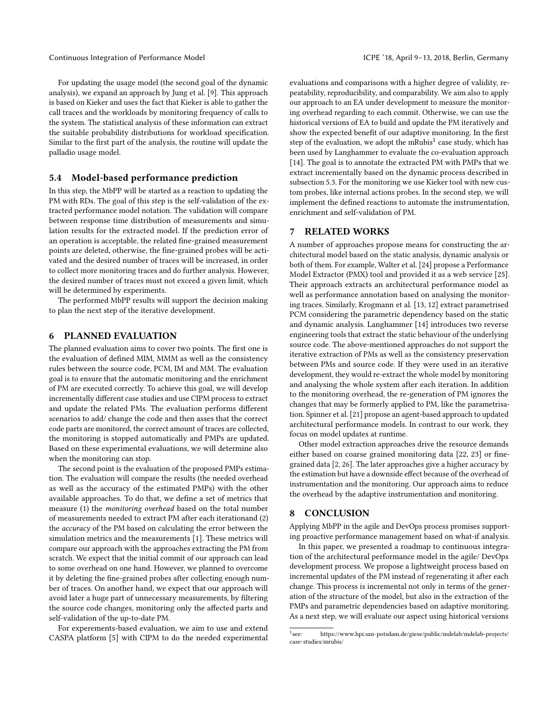Continuous Integration of Performance Model **ICPE** '18, April 9–13, 2018, Berlin, Germany

For updating the usage model (the second goal of the dynamic analysis), we expand an approach by Jung et al. [\[9\]](#page-5-13). This approach is based on Kieker and uses the fact that Kieker is able to gather the call traces and the workloads by monitoring frequency of calls to the system. The statistical analysis of these information can extract the suitable probability distributions for workload specification. Similar to the first part of the analysis, the routine will update the palladio usage model.

#### 5.4 Model-based performance prediction

In this step, the MbPP will be started as a reaction to updating the PM with RDs. The goal of this step is the self-validation of the extracted performance model notation. The validation will compare between response time distribution of measurements and simulation results for the extracted model. If the prediction error of an operation is acceptable, the related fine-grained measurement points are deleted, otherwise, the fine-grained probes will be activated and the desired number of traces will be increased, in order to collect more monitoring traces and do further analysis. However, the desired number of traces must not exceed a given limit, which will be determined by experiments.

The performed MbPP results will support the decision making to plan the next step of the iterative development.

### <span id="page-4-0"></span>6 PLANNED EVALUATION

The planned evaluation aims to cover two points. The first one is the evaluation of defined MIM, MMM as well as the consistency rules between the source code, PCM, IM and MM. The evaluation goal is to ensure that the automatic monitoring and the enrichment of PM are executed correctly. To achieve this goal, we will develop incrementally different case studies and use CIPM process to extract and update the related PMs. The evaluation performs different scenarios to add/ change the code and then asses that the correct code parts are monitored, the correct amount of traces are collected, the monitoring is stopped automatically and PMPs are updated. Based on these experimental evaluations, we will determine also when the monitoring can stop.

The second point is the evaluation of the proposed PMPs estimation. The evaluation will compare the results (the needed overhead as well as the accuracy of the estimated PMPs) with the other available approaches. To do that, we define a set of metrics that measure (1) the monitoring overhead based on the total number of measurements needed to extract PM after each iterationand (2) the accuracy of the PM based on calculating the error between the simulation metrics and the measurements [\[1\]](#page-5-3). These metrics will compare our approach with the approaches extracting the PM from scratch. We expect that the initial commit of our approach can lead to some overhead on one hand. However, we planned to overcome it by deleting the fine-grained probes after collecting enough number of traces. On another hand, we expect that our approach will avoid later a huge part of unnecessary measurements, by filtering the source code changes, monitoring only the affected parts and self-validation of the up-to-date PM.

For experements-based evaluation, we aim to use and extend CASPA platform [\[5\]](#page-5-20) with CIPM to do the needed experimental evaluations and comparisons with a higher degree of validity, repeatability, reproducibility, and comparability. We aim also to apply our approach to an EA under development to measure the monitoring overhead regarding to each commit. Otherwise, we can use the historical versions of EA to build and update the PM iteratively and show the expected benefit of our adaptive monitoring. In the first step of the evaluation, we adopt the  $mRubic<sup>1</sup>$  $mRubic<sup>1</sup>$  $mRubic<sup>1</sup>$  case study, which has been used by Langhammer to evaluate the co-evaluation approach [\[14\]](#page-5-6). The goal is to annotate the extracted PM with PMPs that we extract incrementally based on the dynamic process described in [subsection 5.3.](#page-2-3) For the monitoring we use Kieker tool with new custom probes, like internal actions probes. In the second step, we will implement the defined reactions to automate the instrumentation, enrichment and self-validation of PM.

### <span id="page-4-1"></span>7 RELATED WORKS

A number of approaches propose means for constructing the architectural model based on the static analysis, dynamic analysis or both of them. For example, Walter et al. [\[24\]](#page-5-21) propose a Performance Model Extractor (PMX) tool and provided it as a web service [\[25\]](#page-5-22). Their approach extracts an architectural performance model as well as performance annotation based on analysing the monitoring traces. Similarly, Krogmann et al. [\[13,](#page-5-11) [12\]](#page-5-23) extract parametrised PCM considering the parametric dependency based on the static and dynamic analysis. Langhammer [\[14\]](#page-5-6) introduces two reverse engineering tools that extract the static behaviour of the underlying source code. The above-mentioned approaches do not support the iterative extraction of PMs as well as the consistency preservation between PMs and source code. If they were used in an iterative development, they would re-extract the whole model by monitoring and analysing the whole system after each iteration. In addition to the monitoring overhead, the re-generation of PM ignores the changes that may be formerly applied to PM, like the parametrisation. Spinner et al. [\[21\]](#page-5-24) propose an agent-based approach to updated architectural performance models. In contrast to our work, they focus on model updates at runtime.

Other model extraction approaches drive the resource demands either based on coarse grained monitoring data [\[22,](#page-5-25) [23\]](#page-5-16) or finegrained data [\[2,](#page-5-18) [26\]](#page-5-26). The later approaches give a higher accuracy by the estimation but have a downside effect because of the overhead of instrumentation and the monitoring. Our approach aims to reduce the overhead by the adaptive instrumentation and monitoring.

#### <span id="page-4-2"></span>8 CONCLUSION

Applying MbPP in the agile and DevOps process promises supporting proactive performance management based on what-if analysis.

In this paper, we presented a roadmap to continuous integration of the architectural performance model in the agile/ DevOps development process. We propose a lightweight process based on incremental updates of the PM instead of regenerating it after each change. This process is incremental not only in terms of the generation of the structure of the model, but also in the extraction of the PMPs and parametric dependencies based on adaptive monitoring. As a next step, we will evaluate our aspect using historical versions

<span id="page-4-3"></span> $\overline{1}_{\text{see}}$ see: [https://www.hpi.uni-potsdam.de/giese/public/mdelab/mdelab-projects/](https://www.hpi.uni-potsdam.de/giese/public/mdelab/mdelab-projects/case-studies/mrubis/) [case-studies/mrubis/](https://www.hpi.uni-potsdam.de/giese/public/mdelab/mdelab-projects/case-studies/mrubis/)